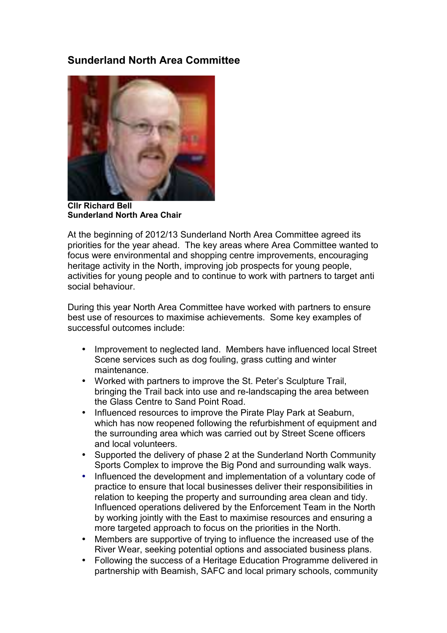## **Sunderland North Area Committee**



**Cllr Richard Bell Sunderland North Area Chair** 

At the beginning of 2012/13 Sunderland North Area Committee agreed its priorities for the year ahead. The key areas where Area Committee wanted to focus were environmental and shopping centre improvements, encouraging heritage activity in the North, improving job prospects for young people, activities for young people and to continue to work with partners to target anti social behaviour.

During this year North Area Committee have worked with partners to ensure best use of resources to maximise achievements. Some key examples of successful outcomes include:

- Improvement to neglected land. Members have influenced local Street Scene services such as dog fouling, grass cutting and winter maintenance.
- Worked with partners to improve the St. Peter's Sculpture Trail, bringing the Trail back into use and re-landscaping the area between the Glass Centre to Sand Point Road.
- Influenced resources to improve the Pirate Play Park at Seaburn, which has now reopened following the refurbishment of equipment and the surrounding area which was carried out by Street Scene officers and local volunteers.
- Supported the delivery of phase 2 at the Sunderland North Community Sports Complex to improve the Big Pond and surrounding walk ways.
- Influenced the development and implementation of a voluntary code of practice to ensure that local businesses deliver their responsibilities in relation to keeping the property and surrounding area clean and tidy. Influenced operations delivered by the Enforcement Team in the North by working jointly with the East to maximise resources and ensuring a more targeted approach to focus on the priorities in the North.
- Members are supportive of trying to influence the increased use of the River Wear, seeking potential options and associated business plans.
- Following the success of a Heritage Education Programme delivered in partnership with Beamish, SAFC and local primary schools, community